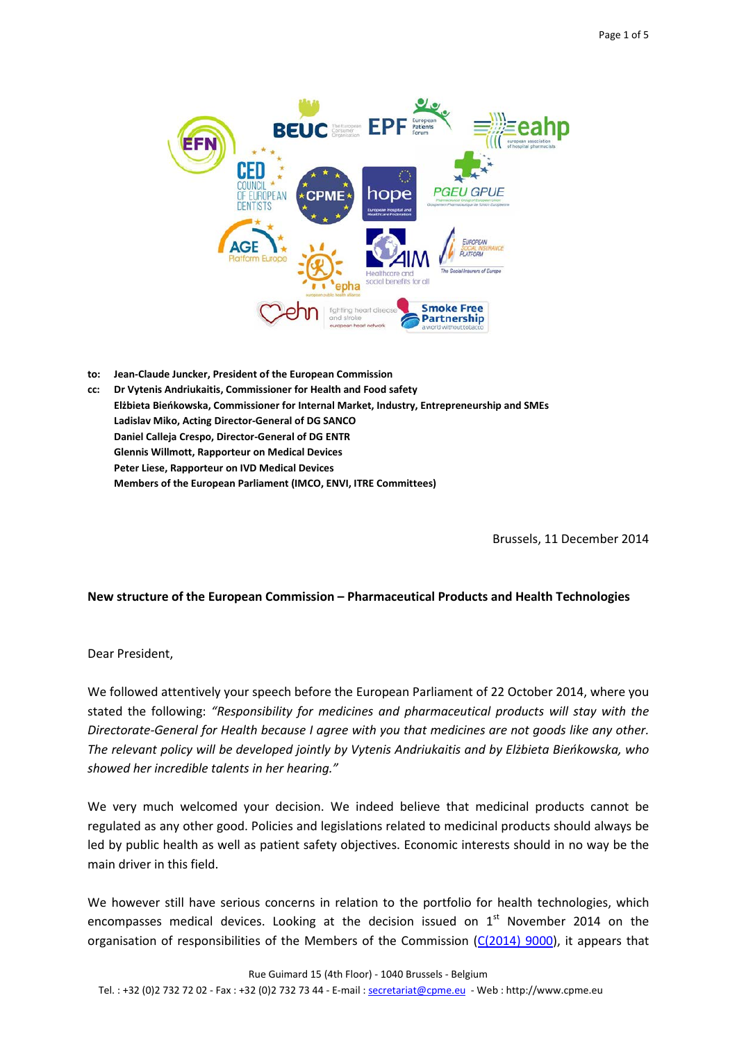

- **to: Jean-Claude Juncker, President of the European Commission**
- **cc: Dr Vytenis Andriukaitis, Commissioner for Health and Food safety Elżbieta Bieńkowska, Commissioner for Internal Market, Industry, Entrepreneurship and SMEs Ladislav Miko, Acting Director-General of DG SANCO Daniel Calleja Crespo, Director-General of DG ENTR Glennis Willmott, Rapporteur on Medical Devices Peter Liese, Rapporteur on IVD Medical Devices Members of the European Parliament (IMCO, ENVI, ITRE Committees)**

Brussels, 11 December 2014

## **New structure of the European Commission – Pharmaceutical Products and Health Technologies**

Dear President,

We followed attentively your speech before the European Parliament of 22 October 2014, where you stated the following: *"Responsibility for medicines and pharmaceutical products will stay with the Directorate-General for Health because I agree with you that medicines are not goods like any other. The relevant policy will be developed jointly by Vytenis Andriukaitis and by Elżbieta Bieńkowska, who showed her incredible talents in her hearing."*

<span id="page-0-0"></span>We very much welcomed your decision. We indeed believe that medicinal products cannot be regulated as any other good. Policies and legislations related to medicinal products should always be led by public health as well as patient safety objectives. Economic interests should in no way be the main driver in this field.

We however still have serious concerns in relation to the portfolio for health technologies, which encompasses medical devices. Looking at the decision issued on  $1<sup>st</sup>$  November 2014 on the organisation of responsibilities of the Members of the Commission [\(C\(2014\) 9000\)](http://ec.europa.eu/transparency/regdoc/rep/3/2014/EN/3-2014-9000-EN-F1-1.Pdf), it appears that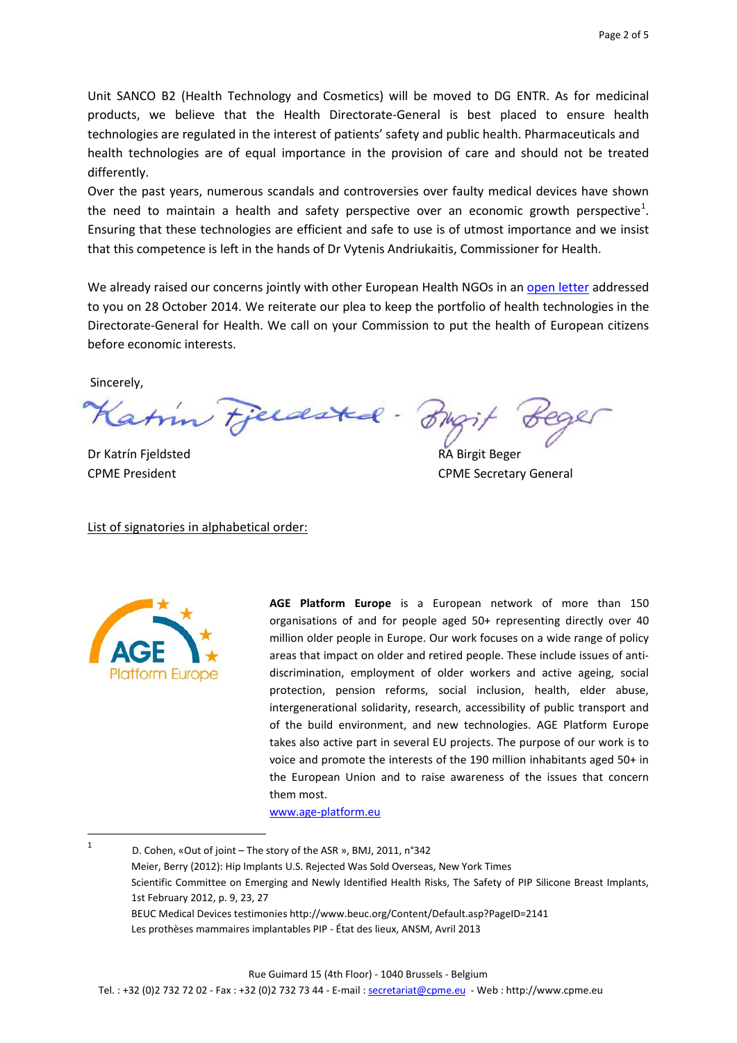Unit SANCO B2 (Health Technology and Cosmetics) will be moved to DG ENTR. As for medicinal products, we believe that the Health Directorate-General is best placed to ensure health technologies are regulated in the interest of patients' safety and public health. Pharmaceuticals and health technologies are of equal importance in the provision of care and should not be treated differently.

Over the past years, numerous scandals and controversies over faulty medical devices have shown the need to maintain a health and safety perspective over an economic growth perspective<sup>[1](#page-0-0)</sup>. Ensuring that these technologies are efficient and safe to use is of utmost importance and we insist that this competence is left in the hands of Dr Vytenis Andriukaitis, Commissioner for Health.

We already raised our concerns jointly with other European Health NGOs in an [open letter](http://www.epha.org/a/6212) addressed to you on 28 October 2014. We reiterate our plea to keep the portfolio of health technologies in the Directorate-General for Health. We call on your Commission to put the health of European citizens before economic interests.

Sincerely,

Katin Fjerdsted - BM

Dr Katrín Fjeldsted RA Birgit Beger

List of signatories in alphabetical order:

CPME President CPME Secretary General



**AGE Platform Europe** is a European network of more than 150 organisations of and for people aged 50+ representing directly over 40 million older people in Europe. Our work focuses on a wide range of policy areas that impact on older and retired people. These include issues of antidiscrimination, employment of older workers and active ageing, social protection, pension reforms, social inclusion, health, elder abuse, intergenerational solidarity, research, accessibility of public transport and of the build environment, and new technologies. AGE Platform Europe takes also active part in several EU projects. The purpose of our work is to voice and promote the interests of the 190 million inhabitants aged 50+ in the European Union and to raise awareness of the issues that concern them most.

[www.age-platform.eu](http://www.age-platform.eu/)

<sup>&</sup>lt;sup>1</sup> D. Cohen, «Out of joint – The story of the ASR », BMJ, 2011, n°342 Meier, Berry (2012): Hip Implants U.S. Rejected Was Sold Overseas, New York Times Scientific Committee on Emerging and Newly Identified Health Risks, The Safety of PIP Silicone Breast Implants, 1st February 2012, p. 9, 23, 27 BEUC Medical Devices testimonies http://www.beuc.org/Content/Default.asp?PageID=2141 Les prothèses mammaires implantables PIP - État des lieux, ANSM, Avril 2013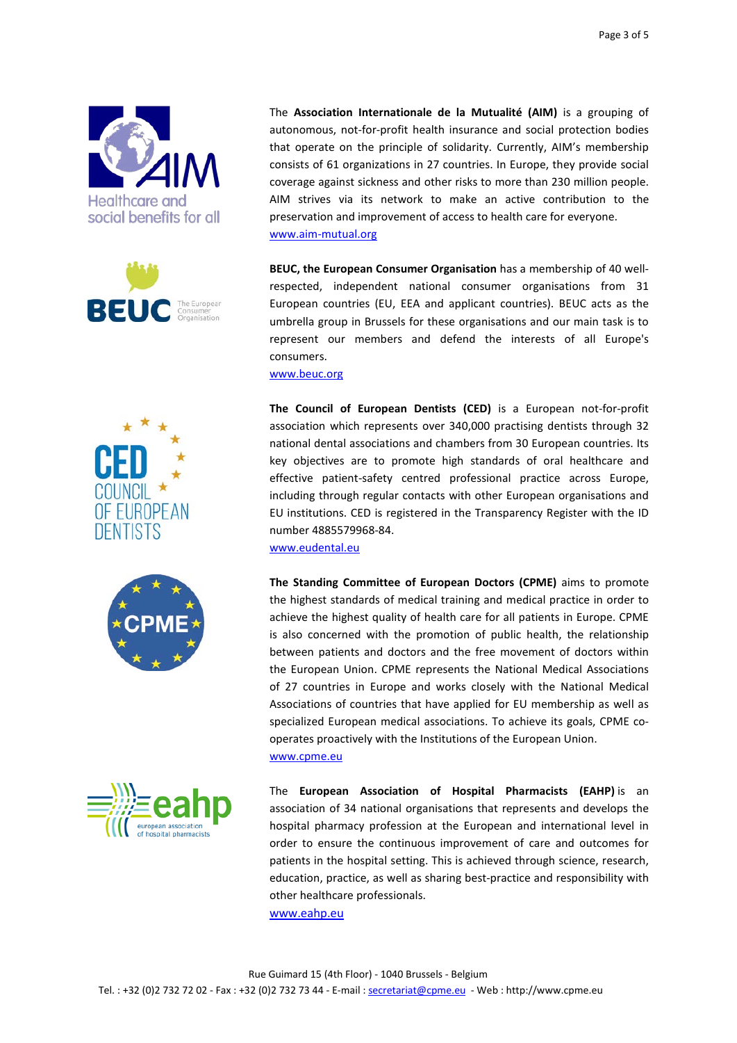









The **Association Internationale de la Mutualité (AIM)** is a grouping of autonomous, not-for-profit health insurance and social protection bodies that operate on the principle of solidarity. Currently, AIM's membership consists of 61 organizations in 27 countries. In Europe, they provide social coverage against sickness and other risks to more than 230 million people. AIM strives via its network to make an active contribution to the preservation and improvement of access to health care for everyone. [www.aim-mutual.org](http://www.aim-mutual.org/)

**BEUC, the European Consumer Organisation** has a membership of 40 wellrespected, independent national consumer organisations from 31 European countries (EU, EEA and applicant countries). BEUC acts as the umbrella group in Brussels for these organisations and our main task is to represent our members and defend the interests of all Europe's consumers.

[www.beuc.org](http://www.beuc.org/)

**The Council of European Dentists (CED)** is a European not-for-profit association which represents over 340,000 practising dentists through 32 national dental associations and chambers from 30 European countries. Its key objectives are to promote high standards of oral healthcare and effective patient-safety centred professional practice across Europe, including through regular contacts with other European organisations and EU institutions. CED is registered in the Transparency Register with the ID number 4885579968-84.

[www.eudental.eu](http://www.eudental.eu/)

**The Standing Committee of European Doctors (CPME)** aims to promote the highest standards of medical training and medical practice in order to achieve the highest quality of health care for all patients in Europe. CPME is also concerned with the promotion of public health, the relationship between patients and doctors and the free movement of doctors within the European Union. CPME represents the National Medical Associations of 27 countries in Europe and works closely with the National Medical Associations of countries that have applied for EU membership as well as specialized European medical associations. To achieve its goals, CPME cooperates proactively with the Institutions of the European Union. [www.cpme.eu](http://www.cpme.eu/)

The **European Association of Hospital Pharmacists (EAHP)** is an association of 34 national organisations that represents and develops the hospital pharmacy profession at the European and international level in order to ensure the continuous improvement of care and outcomes for patients in the hospital setting. This is achieved through science, research, education, practice, as well as sharing best-practice and responsibility with other healthcare professionals.

[www.eahp.eu](http://www.eahp.eu/)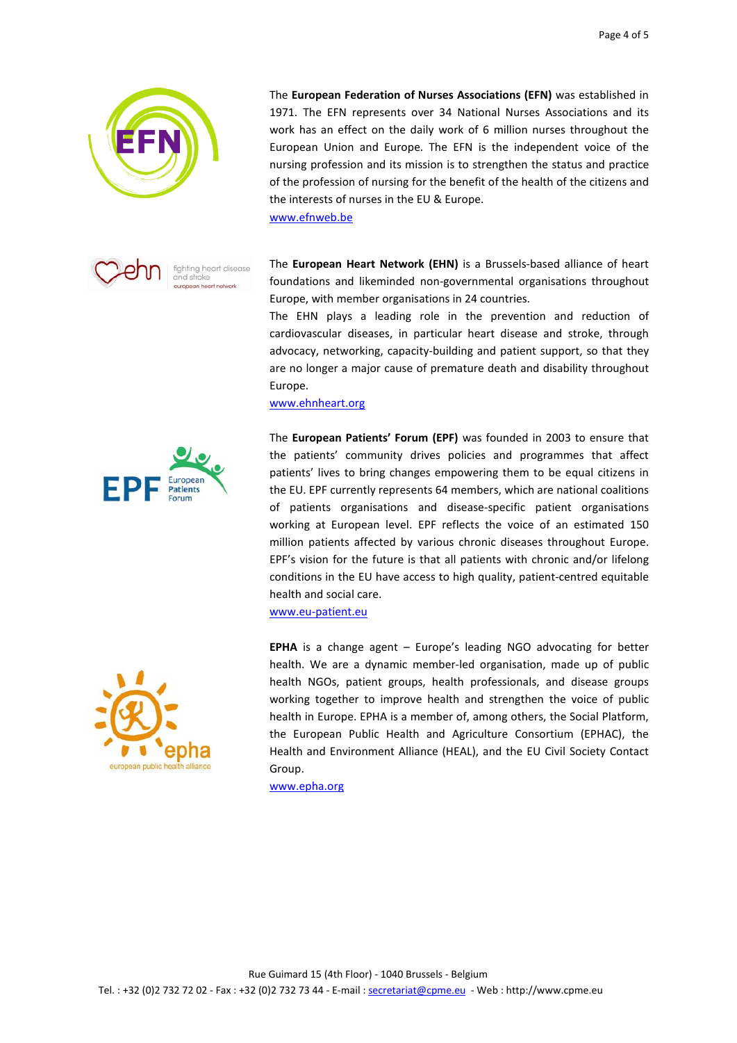



The **European Federation of Nurses Associations (EFN)** was established in 1971. The EFN represents over 34 National Nurses Associations and its work has an effect on the daily work of 6 million nurses throughout the European Union and Europe. The EFN is the independent voice of the nursing profession and its mission is to strengthen the status and practice of the profession of nursing for the benefit of the health of the citizens and the interests of nurses in the EU & Europe.

[www.efnweb.be](http://www.efnweb.be/)

The **European Heart Network (EHN)** is a Brussels-based alliance of heart foundations and likeminded non-governmental organisations throughout Europe, with member organisations in 24 countries.

The EHN plays a leading role in the prevention and reduction of cardiovascular diseases, in particular heart disease and stroke, through advocacy, networking, capacity-building and patient support, so that they are no longer a major cause of premature death and disability throughout Europe.

The **European Patients' Forum (EPF)** was founded in 2003 to ensure that

[www.ehnheart.org](http://www.ehnheart.org/)



the patients' community drives policies and programmes that affect patients' lives to bring changes empowering them to be equal citizens in the EU. EPF currently represents 64 members, which are national coalitions of patients organisations and disease-specific patient organisations working at European level. EPF reflects the voice of an estimated 150 million patients affected by various chronic diseases throughout Europe. EPF's vision for the future is that all patients with chronic and/or lifelong conditions in the EU have access to high quality, patient-centred equitable health and social care.

[www.eu-patient.eu](http://www.eu-patient.eu/)

**EPHA** is a change agent – Europe's leading NGO advocating for better health. We are a dynamic member-led organisation, made up of public health NGOs, patient groups, health professionals, and disease groups working together to improve health and strengthen the voice of public health in Europe. EPHA is a member of, among others, the Social Platform, the European Public Health and Agriculture Consortium (EPHAC), the Health and Environment Alliance (HEAL), and the EU Civil Society Contact Group.

[www.epha.org](http://www.epha.org/)